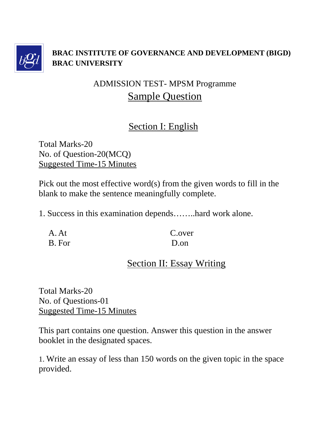

#### **BRAC INSTITUTE OF GOVERNANCE AND DEVELOPMENT (BIGD) BRAC UNIVERSITY**

# ADMISSION TEST- MPSM Programme Sample Question

### Section I: English

Total Marks-20 No. of Question-20(MCQ) Suggested Time-15 Minutes

Pick out the most effective word(s) from the given words to fill in the blank to make the sentence meaningfully complete.

1. Success in this examination depends……..hard work alone.

A. At C.over B. For D.on

# Section II: Essay Writing

Total Marks-20 No. of Questions-01 Suggested Time-15 Minutes

This part contains one question. Answer this question in the answer booklet in the designated spaces.

1. Write an essay of less than 150 words on the given topic in the space provided.